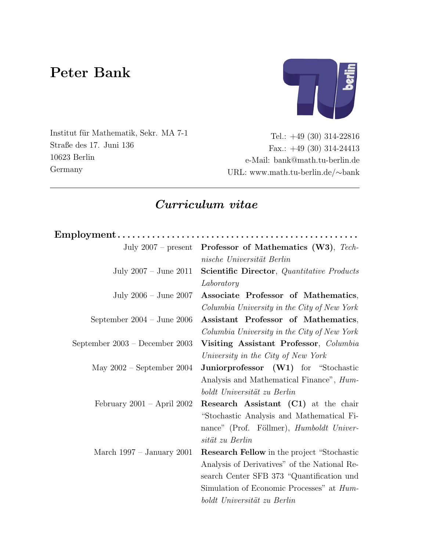# Peter Bank



Institut für Mathematik, Sekr. MA 7-1 Straße des 17. Juni 136 10623 Berlin Germany

Tel.: +49 (30) 314-22816 Fax.: +49 (30) 314-24413 e-Mail: bank@math.tu-berlin.de URL: www.math.tu-berlin.de/∼bank

# Curriculum vitae

| $Employment \ldots \ldots \ldots \ldots \ldots \ldots \ldots \ldots \ldots \ldots \ldots \ldots \ldots$ |                                                                  |
|---------------------------------------------------------------------------------------------------------|------------------------------------------------------------------|
|                                                                                                         | July 2007 – present <b>Professor of Mathematics (W3)</b> , Tech- |
|                                                                                                         | nische Universität Berlin                                        |
| July $2007 -$ June $2011$                                                                               | <b>Scientific Director</b> , Quantitative Products               |
|                                                                                                         | Laboratory                                                       |
| July $2006 -$ June $2007$                                                                               | Associate Professor of Mathematics,                              |
|                                                                                                         | Columbia University in the City of New York                      |
| September $2004 - \text{June } 2006$                                                                    | Assistant Professor of Mathematics,                              |
|                                                                                                         | Columbia University in the City of New York                      |
| September $2003$ – December 2003                                                                        | Visiting Assistant Professor, Columbia                           |
|                                                                                                         | University in the City of New York                               |
| May $2002$ – September 2004                                                                             | Juniorprofessor (W1) for "Stochastic                             |
|                                                                                                         | Analysis and Mathematical Finance", <i>Hum-</i>                  |
|                                                                                                         | boldt Universität zu Berlin                                      |
| February $2001 -$ April $2002$                                                                          | <b>Research Assistant (C1)</b> at the chair                      |
|                                                                                                         | "Stochastic Analysis and Mathematical Fi-                        |
|                                                                                                         | nance" (Prof. Föllmer), Humboldt Univer-                         |
|                                                                                                         | sität zu Berlin                                                  |
| March $1997 - January 2001$                                                                             | <b>Research Fellow</b> in the project "Stochastic"               |
|                                                                                                         | Analysis of Derivatives" of the National Re-                     |
|                                                                                                         | search Center SFB 373 "Quantification und                        |
|                                                                                                         | Simulation of Economic Processes" at <i>Hum</i> -                |
|                                                                                                         | boldt Universität zu Berlin                                      |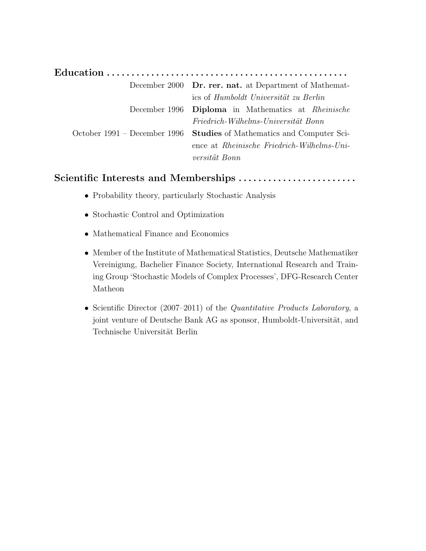| December 2000 <b>Dr. rer. nat.</b> at Department of Mathemat-         |
|-----------------------------------------------------------------------|
| ics of Humboldt Universität zu Berlin                                 |
| December 1996 Diploma in Mathematics at Rheinische                    |
| Friedrich-Wilhelms-Universität Bonn                                   |
| October 1991 – December 1996 Studies of Mathematics and Computer Sci- |
| ence at <i>Rheinische Friedrich-Wilhelms-Uni-</i>                     |
| versität Bonn                                                         |

### Scientific Interests and Memberships . . . . . . . . . . . . . . . . . . . . . . . .

- Probability theory, particularly Stochastic Analysis
- Stochastic Control and Optimization
- Mathematical Finance and Economics
- Member of the Institute of Mathematical Statistics, Deutsche Mathematiker Vereinigung, Bachelier Finance Society, International Research and Training Group 'Stochastic Models of Complex Processes', DFG-Research Center Matheon
- Scientific Director (2007–2011) of the Quantitative Products Laboratory, a joint venture of Deutsche Bank AG as sponsor, Humboldt-Universität, and Technische Universität Berlin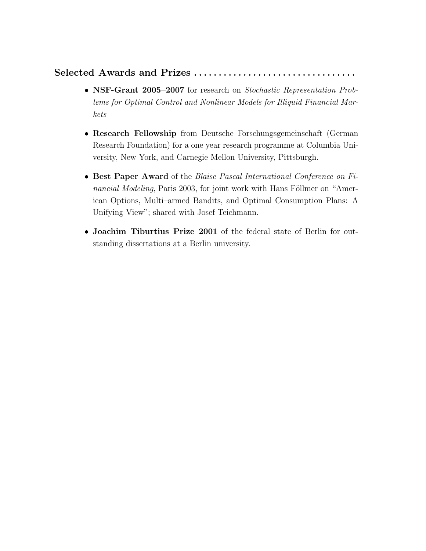### Selected Awards and Prizes . . . . . . . . . . . . . . . . . . . . . . . . . . . . . . . . .

- NSF-Grant 2005–2007 for research on Stochastic Representation Problems for Optimal Control and Nonlinear Models for Illiquid Financial Markets
- Research Fellowship from Deutsche Forschungsgemeinschaft (German Research Foundation) for a one year research programme at Columbia University, New York, and Carnegie Mellon University, Pittsburgh.
- Best Paper Award of the Blaise Pascal International Conference on Financial Modeling, Paris 2003, for joint work with Hans Föllmer on "American Options, Multi–armed Bandits, and Optimal Consumption Plans: A Unifying View"; shared with Josef Teichmann.
- Joachim Tiburtius Prize 2001 of the federal state of Berlin for outstanding dissertations at a Berlin university.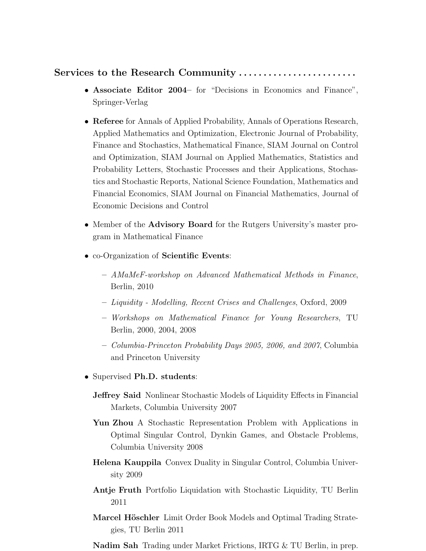#### Services to the Research Community ........................

- Associate Editor 2004– for "Decisions in Economics and Finance", Springer-Verlag
- Referee for Annals of Applied Probability, Annals of Operations Research, Applied Mathematics and Optimization, Electronic Journal of Probability, Finance and Stochastics, Mathematical Finance, SIAM Journal on Control and Optimization, SIAM Journal on Applied Mathematics, Statistics and Probability Letters, Stochastic Processes and their Applications, Stochastics and Stochastic Reports, National Science Foundation, Mathematics and Financial Economics, SIAM Journal on Financial Mathematics, Journal of Economic Decisions and Control
- Member of the **Advisory Board** for the Rutgers University's master program in Mathematical Finance
- co-Organization of Scientific Events:
	- AMaMeF-workshop on Advanced Mathematical Methods in Finance, Berlin, 2010
	- Liquidity Modelling, Recent Crises and Challenges, Oxford, 2009
	- Workshops on Mathematical Finance for Young Researchers, TU Berlin, 2000, 2004, 2008
	- Columbia-Princeton Probability Days 2005, 2006, and 2007, Columbia and Princeton University
- Supervised Ph.D. students:
	- **Jeffrey Said** Nonlinear Stochastic Models of Liquidity Effects in Financial Markets, Columbia University 2007
	- Yun Zhou A Stochastic Representation Problem with Applications in Optimal Singular Control, Dynkin Games, and Obstacle Problems, Columbia University 2008
	- Helena Kauppila Convex Duality in Singular Control, Columbia University 2009
	- Antje Fruth Portfolio Liquidation with Stochastic Liquidity, TU Berlin 2011
	- Marcel Höschler Limit Order Book Models and Optimal Trading Strategies, TU Berlin 2011
	- Nadim Sah Trading under Market Frictions, IRTG & TU Berlin, in prep.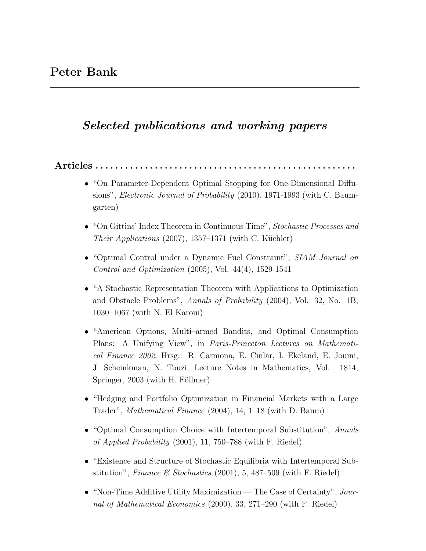## Selected publications and working papers

 $Articles \ldots \ldots \ldots \ldots$ 

- "On Parameter-Dependent Optimal Stopping for One-Dimensional Diffusions", Electronic Journal of Probability (2010), 1971-1993 (with C. Baumgarten)
- "On Gittins' Index Theorem in Continuous Time", Stochastic Processes and *Their Applications*  $(2007)$ , 1357–1371 (with C. Küchler)
- "Optimal Control under a Dynamic Fuel Constraint", SIAM Journal on Control and Optimization (2005), Vol. 44(4), 1529-1541
- "A Stochastic Representation Theorem with Applications to Optimization and Obstacle Problems", Annals of Probability (2004), Vol. 32, No. 1B, 1030–1067 (with N. El Karoui)
- "American Options, Multi–armed Bandits, and Optimal Consumption Plans: A Unifying View", in Paris-Princeton Lectures on Mathematical Finance 2002, Hrsg.: R. Carmona, E. Cinlar, I. Ekeland, E. Jouini, J. Scheinkman, N. Touzi, Lecture Notes in Mathematics, Vol. 1814, Springer,  $2003$  (with H. Föllmer)
- "Hedging and Portfolio Optimization in Financial Markets with a Large Trader", Mathematical Finance (2004), 14, 1–18 (with D. Baum)
- "Optimal Consumption Choice with Intertemporal Substitution", Annals of Applied Probability (2001), 11, 750–788 (with F. Riedel)
- "Existence and Structure of Stochastic Equilibria with Intertemporal Substitution", Finance & Stochastics  $(2001)$ , 5, 487–509 (with F. Riedel)
- "Non-Time Additive Utility Maximization The Case of Certainty", Journal of Mathematical Economics (2000), 33, 271–290 (with F. Riedel)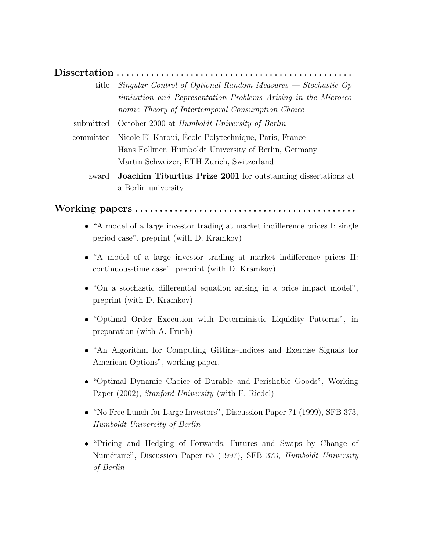#### Dissertation . . . . . . . . . . . . . . . . . . . . . . . . . . . . . . . . . . . . . . . . . . . . . . . .

title Singular Control of Optional Random Measures — Stochastic Optimization and Representation Problems Arising in the Microeconomic Theory of Intertemporal Consumption Choice

submitted October 2000 at Humboldt University of Berlin

- committee Nicole El Karoui, Ecole Polytechnique, Paris, France ´ Hans Föllmer, Humboldt University of Berlin, Germany Martin Schweizer, ETH Zurich, Switzerland
	- award Joachim Tiburtius Prize 2001 for outstanding dissertations at a Berlin university

#### Working papers . . . . . . . . . . . . . . . . . . . . . . . . . . . . . . . . . . . . . . . . . . . . .

- "A model of a large investor trading at market indifference prices I: single period case", preprint (with D. Kramkov)
- "A model of a large investor trading at market indifference prices II: continuous-time case", preprint (with D. Kramkov)
- "On a stochastic differential equation arising in a price impact model", preprint (with D. Kramkov)
- "Optimal Order Execution with Deterministic Liquidity Patterns", in preparation (with A. Fruth)
- "An Algorithm for Computing Gittins–Indices and Exercise Signals for American Options", working paper.
- "Optimal Dynamic Choice of Durable and Perishable Goods", Working Paper (2002), Stanford University (with F. Riedel)
- "No Free Lunch for Large Investors", Discussion Paper 71 (1999), SFB 373, Humboldt University of Berlin
- "Pricing and Hedging of Forwards, Futures and Swaps by Change of Numéraire", Discussion Paper 65 (1997), SFB 373, Humboldt University of Berlin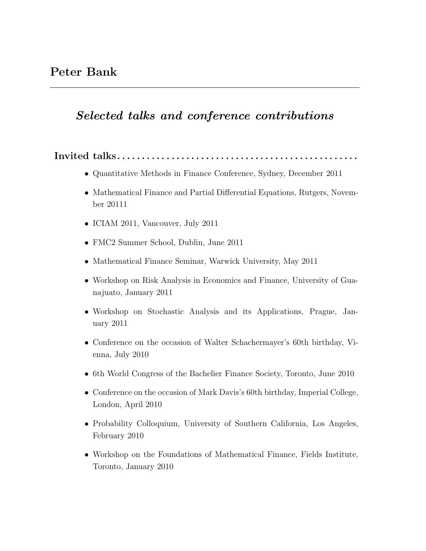# Selected talks and conference contributions

Invited  $talks... \ldots \ldots \ldots \ldots \ldots$ 

- Quantitative Methods in Finance Conference, Sydney, December 2011
- Mathematical Finance and Partial Differential Equations, Rutgers, November 20111
- ICIAM 2011, Vancouver, July 2011
- FMC2 Summer School, Dublin, June 2011
- Mathematical Finance Seminar, Warwick University, May 2011
- Workshop on Risk Analysis in Economics and Finance, University of Guanajuato, January 2011
- Workshop on Stochastic Analysis and its Applications, Prague, January 2011
- Conference on the occasion of Walter Schachermayer's 60th birthday, Vienna, July 2010
- 6th World Congress of the Bachelier Finance Society, Toronto, June 2010
- Conference on the occasion of Mark Davis's 60th birthday, Imperial College, London, April 2010
- Probability Colloquium, University of Southern California, Los Angeles, February 2010
- Workshop on the Foundations of Mathematical Finance, Fields Institute, Toronto, January 2010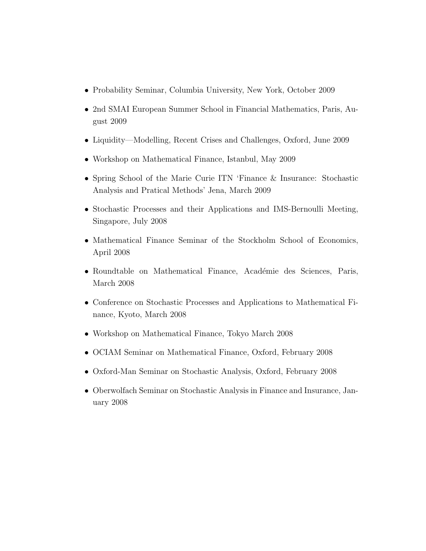- Probability Seminar, Columbia University, New York, October 2009
- 2nd SMAI European Summer School in Financial Mathematics, Paris, August 2009
- Liquidity—Modelling, Recent Crises and Challenges, Oxford, June 2009
- Workshop on Mathematical Finance, Istanbul, May 2009
- Spring School of the Marie Curie ITN 'Finance & Insurance: Stochastic Analysis and Pratical Methods' Jena, March 2009
- Stochastic Processes and their Applications and IMS-Bernoulli Meeting, Singapore, July 2008
- Mathematical Finance Seminar of the Stockholm School of Economics, April 2008
- Roundtable on Mathematical Finance, Académie des Sciences, Paris, March 2008
- Conference on Stochastic Processes and Applications to Mathematical Finance, Kyoto, March 2008
- Workshop on Mathematical Finance, Tokyo March 2008
- OCIAM Seminar on Mathematical Finance, Oxford, February 2008
- Oxford-Man Seminar on Stochastic Analysis, Oxford, February 2008
- Oberwolfach Seminar on Stochastic Analysis in Finance and Insurance, January 2008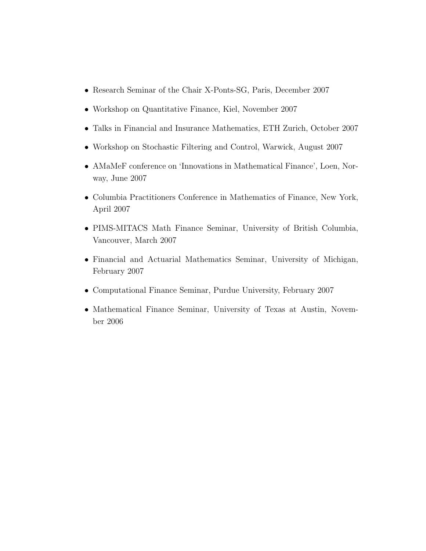- Research Seminar of the Chair X-Ponts-SG, Paris, December 2007
- Workshop on Quantitative Finance, Kiel, November 2007
- Talks in Financial and Insurance Mathematics, ETH Zurich, October 2007
- Workshop on Stochastic Filtering and Control, Warwick, August 2007
- AMaMeF conference on 'Innovations in Mathematical Finance', Loen, Norway, June 2007
- Columbia Practitioners Conference in Mathematics of Finance, New York, April 2007
- PIMS-MITACS Math Finance Seminar, University of British Columbia, Vancouver, March 2007
- Financial and Actuarial Mathematics Seminar, University of Michigan, February 2007
- Computational Finance Seminar, Purdue University, February 2007
- Mathematical Finance Seminar, University of Texas at Austin, November 2006